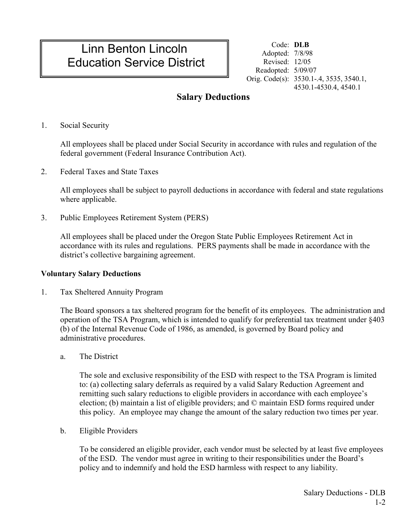# Linn Benton Lincoln Education Service District

Code: **DLB** Adopted: 7/8/98 Revised: 12/05 Readopted: 5/09/07 Orig. Code(s): 3530.1-.4, 3535, 3540.1, 4530.1-4530.4, 4540.1

## **Salary Deductions**

1. Social Security

All employees shall be placed under Social Security in accordance with rules and regulation of the federal government (Federal Insurance Contribution Act).

2. Federal Taxes and State Taxes

All employees shall be subject to payroll deductions in accordance with federal and state regulations where applicable.

3. Public Employees Retirement System (PERS)

All employees shall be placed under the Oregon State Public Employees Retirement Act in accordance with its rules and regulations. PERS payments shall be made in accordance with the district's collective bargaining agreement.

#### **Voluntary Salary Deductions**

1. Tax Sheltered Annuity Program

The Board sponsors a tax sheltered program for the benefit of its employees. The administration and operation of the TSA Program, which is intended to qualify for preferential tax treatment under §403 (b) of the Internal Revenue Code of 1986, as amended, is governed by Board policy and administrative procedures.

a. The District

The sole and exclusive responsibility of the ESD with respect to the TSA Program is limited to: (a) collecting salary deferrals as required by a valid Salary Reduction Agreement and remitting such salary reductions to eligible providers in accordance with each employee's election; (b) maintain a list of eligible providers; and © maintain ESD forms required under this policy. An employee may change the amount of the salary reduction two times per year.

b. Eligible Providers

To be considered an eligible provider, each vendor must be selected by at least five employees of the ESD. The vendor must agree in writing to their responsibilities under the Board's policy and to indemnify and hold the ESD harmless with respect to any liability.